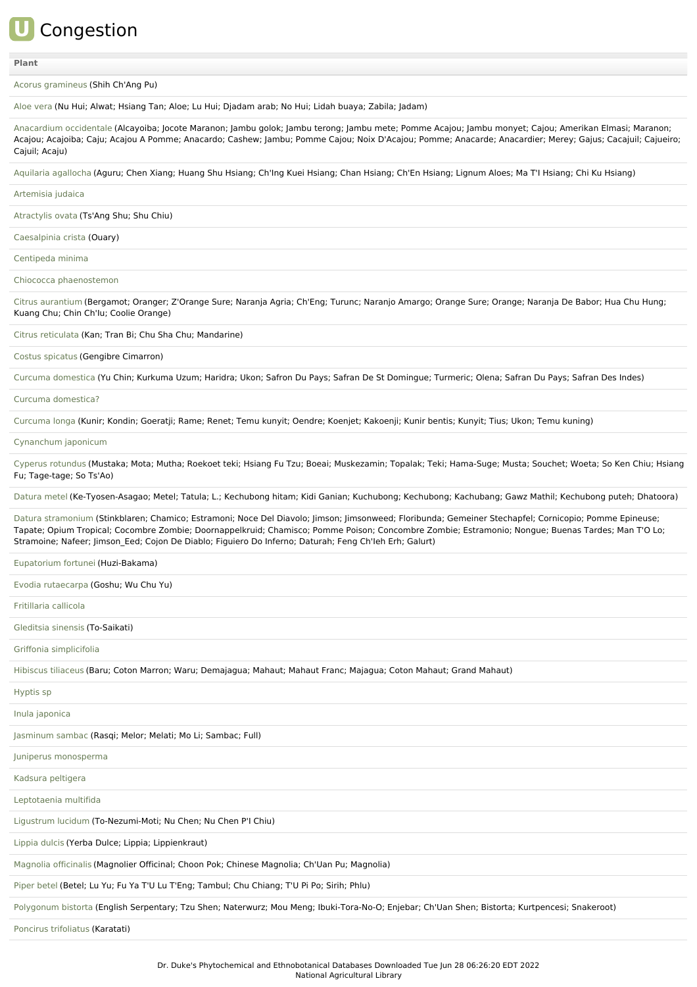# **U** Congestion

#### **[Plant](file:///phytochem/ethnoActivity/ethnoActivityListAll?max=&offset=0&count=&filter=&sort=plant&order=asc)**

Acorus [gramineus](file:///phytochem/ethnoPlants/show/418) (Shih Ch'Ang Pu)

[Aloe](file:///phytochem/ethnoPlants/show/1184) vera (Nu Hui; Alwat; Hsiang Tan; Aloe; Lu Hui; Djadam arab; No Hui; Lidah buaya; Zabila; Jadam)

[Anacardium](file:///phytochem/ethnoPlants/show/2752) occidentale (Alcayoiba; Jocote Maranon; Jambu golok; Jambu terong; Jambu mete; Pomme Acajou; Jambu monyet; Cajou; Amerikan Elmasi; Maranon; Acajou; Acajoiba; Caju; Acajou A Pomme; Anacardo; Cashew; Jambu; Pomme Cajou; Noix D'Acajou; Pomme; Anacarde; Anacardier; Merey; Gajus; Cacajuil; Cajueiro; Cajuil; Acaju)

Aquilaria [agallocha](file:///phytochem/ethnoPlants/show/18) (Aguru; Chen Xiang; Huang Shu Hsiang; Ch'Ing Kuei Hsiang; Chan Hsiang; Ch'En Hsiang; Lignum Aloes; Ma T'I Hsiang; Chi Ku Hsiang)

### [Artemisia](file:///phytochem/ethnoPlants/show/4961) judaica

[Atractylis](file:///phytochem/ethnoPlants/show/24) ovata (Ts'Ang Shu; Shu Chiu)

[Caesalpinia](file:///phytochem/ethnoPlants/show/3527) crista (Ouary)

[Centipeda](file:///phytochem/ethnoPlants/show/1140) minima

Chiococca [phaenostemon](file:///phytochem/ethnoPlants/show/5183)

Citrus [aurantium](file:///phytochem/ethnoPlants/show/38) (Bergamot; Oranger; Z'Orange Sure; Naranja Agria; Ch'Eng; Turunc; Naranjo Amargo; Orange Sure; Orange; Naranja De Babor; Hua Chu Hung; Kuang Chu; Chin Ch'Iu; Coolie Orange)

Citrus [reticulata](file:///phytochem/ethnoPlants/show/1622) (Kan; Tran Bi; Chu Sha Chu; Mandarine)

Costus [spicatus](file:///phytochem/ethnoPlants/show/4158) (Gengibre Cimarron)

Curcuma [domestica](file:///phytochem/ethnoPlants/show/884) (Yu Chin; Kurkuma Uzum; Haridra; Ukon; Safron Du Pays; Safran De St Domingue; Turmeric; Olena; Safran Du Pays; Safran Des Indes)

#### Curcuma [domestica?](file:///phytochem/ethnoPlants/show/43)

[Curcuma](file:///phytochem/ethnoPlants/show/3366) longa (Kunir; Kondin; Goeratji; Rame; Renet; Temu kunyit; Oendre; Koenjet; Kakoenji; Kunir bentis; Kunyit; Tius; Ukon; Temu kuning)

## [Cynanchum](file:///phytochem/ethnoPlants/show/5184) japonicum

Cyperus [rotundus](file:///phytochem/ethnoPlants/show/44) (Mustaka; Mota; Mutha; Roekoet teki; Hsiang Fu Tzu; Boeai; Muskezamin; Topalak; Teki; Hama-Suge; Musta; Souchet; Woeta; So Ken Chiu; Hsiang Fu; Tage-tage; So Ts'Ao)

[Datura](file:///phytochem/ethnoPlants/show/632) metel (Ke-Tyosen-Asagao; Metel; Tatula; L.; Kechubong hitam; Kidi Ganian; Kuchubong; Kechubong; Kachubang; Gawz Mathil; Kechubong puteh; Dhatoora)

Datura [stramonium](file:///phytochem/ethnoPlants/show/497) (Stinkblaren; Chamico; Estramoni; Noce Del Diavolo; Jimson; Jimsonweed; Floribunda; Gemeiner Stechapfel; Cornicopio; Pomme Epineuse; Tapate; Opium Tropical; Cocombre Zombie; Doornappelkruid; Chamisco; Pomme Poison; Concombre Zombie; Estramonio; Nongue; Buenas Tardes; Man T'O Lo; Stramoine; Nafeer; Jimson\_Eed; Cojon De Diablo; Figuiero Do Inferno; Daturah; Feng Ch'Ieh Erh; Galurt)

[Eupatorium](file:///phytochem/ethnoPlants/show/648) fortunei (Huzi-Bakama)

Evodia [rutaecarpa](file:///phytochem/ethnoPlants/show/53) (Goshu; Wu Chu Yu)

[Fritillaria](file:///phytochem/ethnoPlants/show/320) callicola

[Gleditsia](file:///phytochem/ethnoPlants/show/1950) sinensis (To-Saikati)

Griffonia [simplicifolia](file:///phytochem/ethnoPlants/show/2195)

[Hibiscus](file:///phytochem/ethnoPlants/show/513) tiliaceus (Baru; Coton Marron; Waru; Demajagua; Mahaut; Mahaut Franc; Majagua; Coton Mahaut; Grand Mahaut)

[Hyptis](file:///phytochem/ethnoPlants/show/5185) sp

Inula [japonica](file:///phytochem/ethnoPlants/show/2738)

[Jasminum](file:///phytochem/ethnoPlants/show/685) sambac (Rasqi; Melor; Melati; Mo Li; Sambac; Full)

Juniperus [monosperma](file:///phytochem/ethnoPlants/show/2821)

Kadsura [peltigera](file:///phytochem/ethnoPlants/show/5388)

[Leptotaenia](file:///phytochem/ethnoPlants/show/3911) multifida

[Ligustrum](file:///phytochem/ethnoPlants/show/700) lucidum (To-Nezumi-Moti; Nu Chen; Nu Chen P'I Chiu)

[Lippia](file:///phytochem/ethnoPlants/show/2824) dulcis (Yerba Dulce; Lippia; Lippienkraut)

[Magnolia](file:///phytochem/ethnoPlants/show/76) officinalis (Magnolier Officinal; Choon Pok; Chinese Magnolia; Ch'Uan Pu; Magnolia)

[Piper](file:///phytochem/ethnoPlants/show/1050) betel (Betel; Lu Yu; Fu Ya T'U Lu T'Eng; Tambul; Chu Chiang; T'U Pi Po; Sirih; Phlu)

[Polygonum](file:///phytochem/ethnoPlants/show/1415) bistorta (English Serpentary; Tzu Shen; Naterwurz; Mou Meng; Ibuki-Tora-No-O; Enjebar; Ch'Uan Shen; Bistorta; Kurtpencesi; Snakeroot)

Poncirus [trifoliatus](file:///phytochem/ethnoPlants/show/8111) (Karatati)